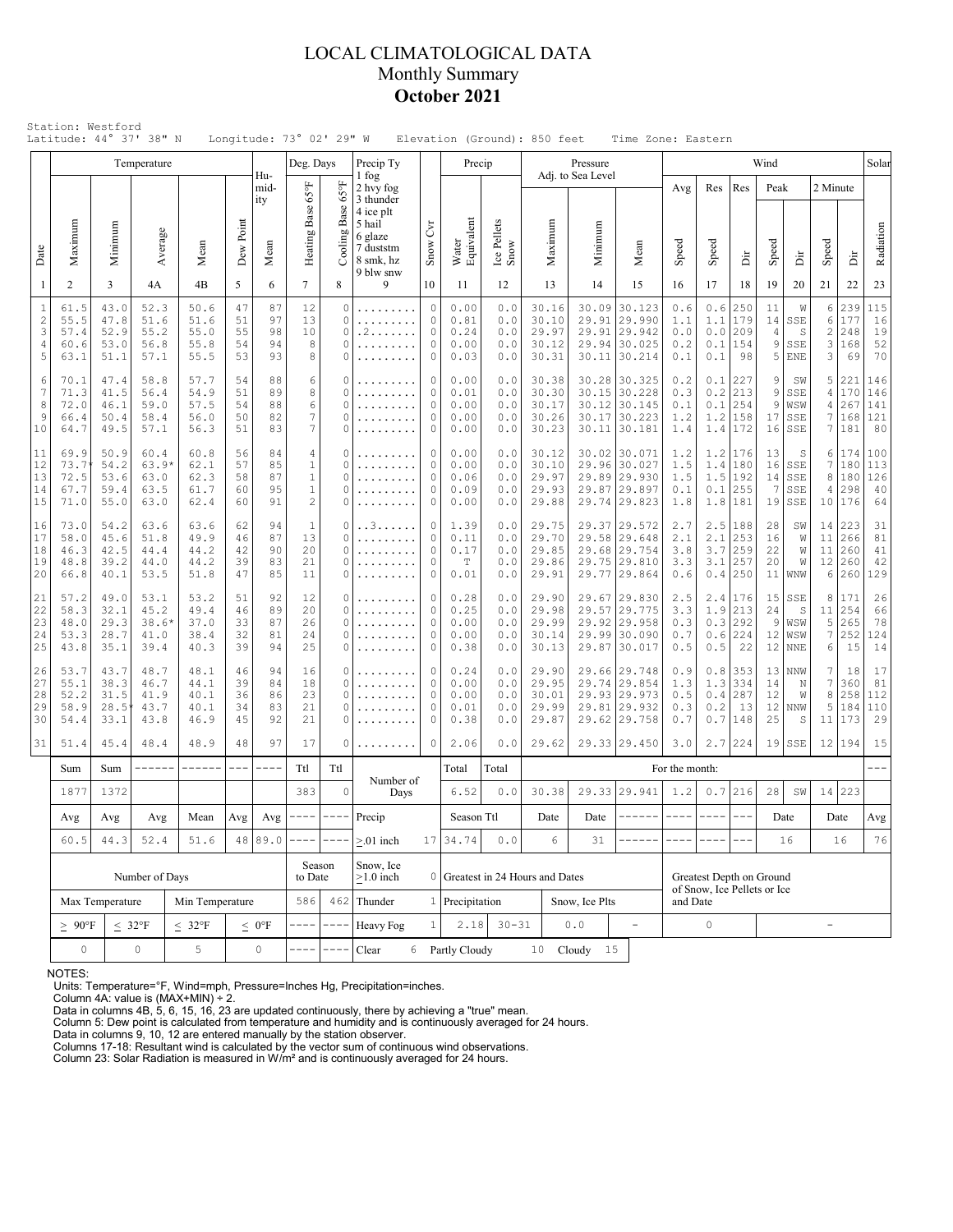### LOCAL CLIMATOLOGICAL DATA Monthly Summary **October 2021**

| Station: Westford<br>Latitude: 44° 37' 38" N<br>Longitude: 73° 02' 29" W<br>Elevation (Ground): 850 feet<br>Time Zone: Eastern<br>Wind<br>Temperature<br>Deg. Days<br>Precip Ty<br>Pressure<br>Precip |                                                                                       |                                                                                                                                                                                                                                                                                                                                                                                                                                         |                                                                              |                                                                    |                            |                            |                                                                     |                                        |                                                                                                                                                                                                                                                                                                                                                                                                                                                                                                        |                                                                                                                                                                                                                                                                                                                                                                                                     |                                             |                                 |                                           |                              |                                                                              |                                 |                                 |                                                     |                                        |                                                             |                                       |                                 |                                |
|-------------------------------------------------------------------------------------------------------------------------------------------------------------------------------------------------------|---------------------------------------------------------------------------------------|-----------------------------------------------------------------------------------------------------------------------------------------------------------------------------------------------------------------------------------------------------------------------------------------------------------------------------------------------------------------------------------------------------------------------------------------|------------------------------------------------------------------------------|--------------------------------------------------------------------|----------------------------|----------------------------|---------------------------------------------------------------------|----------------------------------------|--------------------------------------------------------------------------------------------------------------------------------------------------------------------------------------------------------------------------------------------------------------------------------------------------------------------------------------------------------------------------------------------------------------------------------------------------------------------------------------------------------|-----------------------------------------------------------------------------------------------------------------------------------------------------------------------------------------------------------------------------------------------------------------------------------------------------------------------------------------------------------------------------------------------------|---------------------------------------------|---------------------------------|-------------------------------------------|------------------------------|------------------------------------------------------------------------------|---------------------------------|---------------------------------|-----------------------------------------------------|----------------------------------------|-------------------------------------------------------------|---------------------------------------|---------------------------------|--------------------------------|
|                                                                                                                                                                                                       |                                                                                       |                                                                                                                                                                                                                                                                                                                                                                                                                                         |                                                                              |                                                                    |                            |                            |                                                                     |                                        |                                                                                                                                                                                                                                                                                                                                                                                                                                                                                                        |                                                                                                                                                                                                                                                                                                                                                                                                     |                                             |                                 |                                           |                              |                                                                              |                                 |                                 |                                                     |                                        |                                                             |                                       |                                 | Solar                          |
| Date                                                                                                                                                                                                  | Maximum                                                                               | Minimum                                                                                                                                                                                                                                                                                                                                                                                                                                 | Average                                                                      | Mean                                                               | Dew Point                  | Hu-<br>mid-<br>ity<br>Mean | Heating Base 65°F                                                   | 159<br>Cooling Base                    | 1 fog<br>2 hvy fog<br>3 thunder<br>4 ice plt<br>5 hail<br>6 glaze<br>7 duststm                                                                                                                                                                                                                                                                                                                                                                                                                         | $C$ vr<br>Snow                                                                                                                                                                                                                                                                                                                                                                                      | Water<br>Equivalent                         | Ice Pellets<br>Snow             | Maximum                                   | Adj. to Sea Level<br>Minimum | Mean                                                                         | Avg<br>Speed                    | Res<br>Speed                    | Res<br>Ä                                            | Peak<br>Speed                          | Ä                                                           | 2 Minute<br>Speed                     | ă                               | Radiation                      |
|                                                                                                                                                                                                       | -1<br>2                                                                               | 3                                                                                                                                                                                                                                                                                                                                                                                                                                       | 4A                                                                           | 4B                                                                 | 5                          | 6                          | $\tau$                                                              | 8                                      | 8 smk, hz<br>9 blw snw<br>9                                                                                                                                                                                                                                                                                                                                                                                                                                                                            | 10                                                                                                                                                                                                                                                                                                                                                                                                  | 11                                          | 12                              | 13                                        | 14                           | 15                                                                           | 16                              | 17                              | 18                                                  | 19                                     | 20                                                          | 21                                    | 22                              | 23                             |
|                                                                                                                                                                                                       | $\mathbf{1}$<br>61.5<br>$\overline{c}$<br>55.5<br>3<br>57.4<br>4<br>60.6<br>5<br>63.1 | 43.0<br>47.8<br>52.9<br>53.0<br>51.1                                                                                                                                                                                                                                                                                                                                                                                                    | 52.3<br>51.6<br>55.2<br>56.8<br>57.1                                         | 50.6<br>51.6<br>55.0<br>55.8<br>55.5                               | 47<br>51<br>55<br>54<br>53 | 87<br>97<br>98<br>94<br>93 | 12<br>13<br>10<br>8<br>8                                            | 0<br>0<br>0<br>0                       | .<br>.<br>. 2<br>.                                                                                                                                                                                                                                                                                                                                                                                                                                                                                     | $\circ$<br>$\Omega$<br>0<br>0<br>$\Omega$                                                                                                                                                                                                                                                                                                                                                           |                                             | 0.0<br>0.0<br>0.0<br>0.0<br>0.0 | 30.16<br>30.10<br>29.97<br>30.12<br>30.31 | 30.09<br>29.91<br>29.91      | 30.123<br>29.990<br>29.942<br>29.94 30.025<br>30.11 30.214                   | 0.6<br>1.1<br>0.0<br>0.2<br>0.1 | 0.6<br>1.1<br>0.0<br>0.1<br>0.1 | 250<br>179<br>209<br>154<br>98                      | 11<br>14<br>4<br>9<br>5                | W<br>SSE<br>S<br>SSE<br><b>ENE</b>                          | 6<br>6<br>$\sqrt{2}$<br>3<br>3        | 239<br>177<br>248<br>168<br>69  | 115<br>16<br>19<br>52<br>70    |
| 10                                                                                                                                                                                                    | 6<br>70.1<br>7<br>71.3<br>8<br>72.0<br>9<br>66.4<br>64.7                              | 47.4<br>41.5<br>46.1<br>50.4<br>49.5                                                                                                                                                                                                                                                                                                                                                                                                    | 57.7<br>58.8<br>56.4<br>54.9<br>57.5<br>59.0<br>56.0<br>58.4<br>57.1<br>56.3 |                                                                    | 54<br>51<br>54<br>50<br>51 | 88<br>89<br>88<br>82<br>83 | 6<br>8<br>6<br>7<br>7                                               | 0<br>0<br>0<br>0                       | .<br>.<br>.                                                                                                                                                                                                                                                                                                                                                                                                                                                                                            | 0<br>0<br>$\Omega$<br>0<br>0                                                                                                                                                                                                                                                                                                                                                                        | 0.00<br>0.01<br>0.00<br>0.00<br>0.00        | 0.0<br>0.0<br>0.0<br>0.0<br>0.0 | 30.38<br>30.30<br>30.17<br>30.26<br>30.23 | 30.15                        | 30.28 30.325<br>30.228<br>30.12 30.145<br>30.17 30.223<br>30.11 30.181       | 0.2<br>0.3<br>0.1<br>1.2<br>1.4 | 0.1<br>0.2<br>0.1<br>1.2<br>1.4 | 227<br>213<br>254<br>158<br>172                     | 9<br>9<br>9<br>17<br>16                | SW<br>SSE<br>WSW<br>SSE<br>SSE                              | 5<br>4<br>4<br>7<br>7                 | 221<br>170<br>267<br>168<br>181 | 146<br>146<br>141<br>121<br>80 |
| 11<br>12<br>13<br>14<br>15                                                                                                                                                                            | 69.9<br>73.7<br>72.5<br>67.7<br>71.0                                                  | 50.9<br>54.2<br>53.6<br>59.4<br>55.0                                                                                                                                                                                                                                                                                                                                                                                                    | 60.4<br>63.9'<br>63.0<br>63.5<br>63.0                                        | 60.8<br>62.1<br>62.3<br>61.7<br>62.4                               | 56<br>57<br>58<br>60<br>60 | 84<br>85<br>87<br>95<br>91 | 4<br>$\mathbf{1}$<br>$\mathbf{1}$<br>$\mathbf{1}$<br>$\overline{2}$ | 0<br>0<br>0<br>0<br>0                  | .<br>.<br>.<br>.                                                                                                                                                                                                                                                                                                                                                                                                                                                                                       | 0<br>0<br>$\Omega$<br>0<br>$\circ$                                                                                                                                                                                                                                                                                                                                                                  |                                             | 0.0<br>0.0<br>0.0<br>0.0<br>0.0 | 30.12<br>30.10<br>29.97<br>29.93<br>29.88 |                              | 30.02 30.071<br>29.96 30.027<br>29.89 29.930<br>29.87 29.897<br>29.74 29.823 | 1.2<br>1.5<br>1.5<br>0.1<br>1.8 | 1.4<br>0.1                      | $1.2$   176<br>180<br>$1.5$   192<br>255<br>1.8 181 | 13<br>16<br>14<br>7<br>19              | S<br>SSE<br>SSE<br>SSE<br>SSE                               | 6<br>7<br>8<br>4<br>10                | 174<br>180<br>180<br>298<br>176 | 100<br>113<br>126<br>40<br>64  |
| 16<br>17<br>18<br>19<br>20                                                                                                                                                                            | 73.0<br>58.0<br>46.3<br>48.8<br>66.8                                                  | 54.2<br>45.6<br>42.5<br>39.2<br>40.1                                                                                                                                                                                                                                                                                                                                                                                                    | 63.6<br>51.8<br>44.4<br>44.0<br>53.5                                         | 63.6<br>49.9<br>44.2<br>44.2<br>51.8                               | 62<br>46<br>42<br>39<br>47 | 94<br>87<br>90<br>83<br>85 | $\mathbf{1}$<br>13<br>20<br>21<br>11                                | 0<br>0<br>0<br>0<br>0                  | . . 3<br>.<br>.<br>.                                                                                                                                                                                                                                                                                                                                                                                                                                                                                   | 0<br>0<br>0<br>0<br>0                                                                                                                                                                                                                                                                                                                                                                               | 1.39<br>0.11<br>0.17<br>$\mathbb T$<br>0.01 | 0.0<br>0.0<br>0.0<br>0.0<br>0.0 | 29.75<br>29.70<br>29.85<br>29.86<br>29.91 |                              | 29.37 29.572<br>29.58 29.648<br>29.68 29.754<br>29.75 29.810<br>29.77 29.864 | 2.7<br>2.1<br>3.8<br>3.3<br>0.6 | 2.1<br>3.7<br>3.1<br>0.4        | $2.5$   188<br>253<br>259<br>257<br>250             | 28<br>16<br>22<br>20<br>11             | SW<br>W<br>W<br>W<br>WNW                                    | 14<br>11<br>11<br>12<br>6             | 223<br>266<br>260<br>260<br>260 | 31<br>81<br>41<br>42<br>129    |
| 21<br>22<br>23<br>24<br>25                                                                                                                                                                            | 57.2<br>58.3<br>48.0<br>53.3<br>43.8                                                  | 49.0<br>32.1<br>29.3<br>28.7<br>35.1                                                                                                                                                                                                                                                                                                                                                                                                    | 53.1<br>45.2<br>38.6'<br>41.0<br>39.4                                        | 53.2<br>49.4<br>37.0<br>38.4<br>40.3                               | 51<br>46<br>33<br>32<br>39 | 92<br>89<br>87<br>81<br>94 | 12<br>20<br>26<br>24<br>25                                          | 0<br>$\Omega$<br>O<br>0<br>0           | .<br>.<br>.                                                                                                                                                                                                                                                                                                                                                                                                                                                                                            | 0<br>$\Omega$<br>0<br>0<br>$\Omega$                                                                                                                                                                                                                                                                                                                                                                 | 0.28<br>0.25<br>0.00<br>0.00<br>0.38        | 0.0<br>0.0<br>0.0<br>0.0<br>0.0 | 29.90<br>29.98<br>29.99<br>30.14<br>30.13 |                              | 29.67 29.830<br>29.57 29.775<br>29.92 29.958<br>29.99 30.090<br>29.87 30.017 | 2.5<br>3.3<br>0.3<br>0.7<br>0.5 | 1.9<br>0.6<br>0.5               | $2.4$   176<br>213<br>$0.3$ 292<br>224<br>22        | 15<br>24<br>9<br>12<br>12 <sub>2</sub> | SSE<br>S<br>WSW<br>WSW<br><b>NNE</b>                        | 8<br>11<br>5<br>$\boldsymbol{7}$<br>6 | 171<br>254<br>265<br>252<br>15  | 26<br>66<br>78<br>124<br>14    |
| 26<br>27<br>28<br>29<br>30                                                                                                                                                                            | 53.7<br>55.1<br>52.2<br>58.9<br>54.4                                                  | 43.7<br>38.3<br>31.5<br>28.5<br>33.1                                                                                                                                                                                                                                                                                                                                                                                                    | 48.7<br>46.7<br>41.9<br>43.7<br>43.8                                         | 48.1<br>46<br>39<br>44.1<br>36<br>40.1<br>34<br>40.1<br>45<br>46.9 |                            | 94<br>84<br>86<br>83<br>92 | 16<br>18<br>23<br>21<br>21                                          | 0<br>O<br>$\Omega$<br>0<br>$\mathbf 0$ | .                                                                                                                                                                                                                                                                                                                                                                                                                                                                                                      | 0<br>0<br>$\Omega$<br>0<br>0                                                                                                                                                                                                                                                                                                                                                                        | 0.24<br>0.00<br>0.00<br>0.01<br>0.38        | 0.0<br>0.0<br>0.0<br>0.0<br>0.0 | 29.90<br>29.95<br>30.01<br>29.99<br>29.87 |                              | 29.66 29.748<br>29.74 29.854<br>29.93 29.973<br>29.81 29.932<br>29.62 29.758 | 0.9<br>1.3<br>0.5<br>0.3<br>0.7 | 0.8<br>1.3<br>0.4<br>0.2<br>0.7 | 353<br>334<br>287<br>13<br>148                      | 13<br>14<br>12<br>12<br>25             | <b>NNW</b><br>$\mathbb N$<br>W<br><b>NNW</b><br>$\mathbb S$ | 7<br>$\boldsymbol{7}$<br>8<br>5<br>11 | 18<br>360<br>258<br>184<br>173  | 17<br>81<br>112<br>110<br>29   |
| 31                                                                                                                                                                                                    | 51.4                                                                                  | 45.4                                                                                                                                                                                                                                                                                                                                                                                                                                    | 48.4                                                                         | 48.9                                                               | 48                         | 97                         | 17                                                                  | 0                                      |                                                                                                                                                                                                                                                                                                                                                                                                                                                                                                        | $\mathbf{0}$                                                                                                                                                                                                                                                                                                                                                                                        | 2.06                                        | 0.0                             | 29.62                                     |                              | 29.33 29.450                                                                 | 3.0                             |                                 | $2.7$ 224                                           |                                        | $19$ SSE                                                    |                                       | 12 194                          | 15                             |
|                                                                                                                                                                                                       | Sum                                                                                   | Sum                                                                                                                                                                                                                                                                                                                                                                                                                                     | ------                                                                       | ------                                                             | $---$                      | $- - - -$                  | Ttl                                                                 | Ttl                                    | Number of                                                                                                                                                                                                                                                                                                                                                                                                                                                                                              |                                                                                                                                                                                                                                                                                                                                                                                                     | Total                                       | Total                           |                                           |                              |                                                                              | For the month:                  |                                 |                                                     |                                        |                                                             |                                       |                                 | $---$                          |
|                                                                                                                                                                                                       | 1877                                                                                  | 1372<br>$\circ$<br>383<br>Days<br>$---$<br>$\frac{1}{2} \frac{1}{2} \frac{1}{2} \frac{1}{2} \frac{1}{2} \frac{1}{2} \frac{1}{2} \frac{1}{2} \frac{1}{2} \frac{1}{2} \frac{1}{2} \frac{1}{2} \frac{1}{2} \frac{1}{2} \frac{1}{2} \frac{1}{2} \frac{1}{2} \frac{1}{2} \frac{1}{2} \frac{1}{2} \frac{1}{2} \frac{1}{2} \frac{1}{2} \frac{1}{2} \frac{1}{2} \frac{1}{2} \frac{1}{2} \frac{1}{2} \frac{1}{2} \frac{1}{2} \frac{1}{2} \frac{$ |                                                                              |                                                                    | 6.52                       | 0.0                        | 30.38                                                               |                                        | 29.33 29.941<br>$\begin{array}{cccccccccc} \multicolumn{2}{c}{} & \multicolumn{2}{c}{} & \multicolumn{2}{c}{} & \multicolumn{2}{c}{} & \multicolumn{2}{c}{} & \multicolumn{2}{c}{} & \multicolumn{2}{c}{} & \multicolumn{2}{c}{} & \multicolumn{2}{c}{} & \multicolumn{2}{c}{} & \multicolumn{2}{c}{} & \multicolumn{2}{c}{} & \multicolumn{2}{c}{} & \multicolumn{2}{c}{} & \multicolumn{2}{c}{} & \multicolumn{2}{c}{} & \multicolumn{2}{c}{} & \multicolumn{2}{c}{} & \multicolumn{2}{c}{} & \mult$ | 1.2<br>$\frac{1}{2} \frac{1}{2} \frac{1}{2} \frac{1}{2} \frac{1}{2} \frac{1}{2} \frac{1}{2} \frac{1}{2} \frac{1}{2} \frac{1}{2} \frac{1}{2} \frac{1}{2} \frac{1}{2} \frac{1}{2} \frac{1}{2} \frac{1}{2} \frac{1}{2} \frac{1}{2} \frac{1}{2} \frac{1}{2} \frac{1}{2} \frac{1}{2} \frac{1}{2} \frac{1}{2} \frac{1}{2} \frac{1}{2} \frac{1}{2} \frac{1}{2} \frac{1}{2} \frac{1}{2} \frac{1}{2} \frac{$ | 0.7<br>$\qquad \qquad - - -$                | 216<br>$\frac{1}{2}$            | 28                                        | SW                           | 14                                                                           | 223                             |                                 |                                                     |                                        |                                                             |                                       |                                 |                                |
|                                                                                                                                                                                                       | Avg<br>60.5                                                                           | $\operatorname{Avg}$<br>44.3                                                                                                                                                                                                                                                                                                                                                                                                            | $\operatorname{Avg}$<br>52.4                                                 | Mean<br>51.6                                                       | Avg                        | Avg<br>48 89.0             |                                                                     | $-$                                    | Precip<br>$> 01$ inch                                                                                                                                                                                                                                                                                                                                                                                                                                                                                  |                                                                                                                                                                                                                                                                                                                                                                                                     | Season Ttl<br>17 34.74                      | 0.0                             | Date<br>6                                 | Date<br>31                   |                                                                              |                                 |                                 |                                                     |                                        | Date<br>16                                                  |                                       | Date<br>16                      | $\mathbf{Avg}$<br>76           |
|                                                                                                                                                                                                       | Max Temperature                                                                       | Number of Days<br>Min Temperature                                                                                                                                                                                                                                                                                                                                                                                                       |                                                                              |                                                                    | Season<br>to Date<br>586   |                            | Snow, Ice<br>$>1.0$ inch<br>462 Thunder                             |                                        | 1 Precipitation                                                                                                                                                                                                                                                                                                                                                                                                                                                                                        | 0 Greatest in 24 Hours and Dates                                                                                                                                                                                                                                                                                                                                                                    |                                             | Snow, Ice Plts                  |                                           | and Date                     | Greatest Depth on Ground<br>of Snow, Ice Pellets or Ice                      |                                 |                                 |                                                     |                                        |                                                             |                                       |                                 |                                |
|                                                                                                                                                                                                       | $\geq 90^{\circ}$ F                                                                   | $\leq 32^{\circ}F$                                                                                                                                                                                                                                                                                                                                                                                                                      |                                                                              | $\leq 0$ °F                                                        |                            |                            | Heavy Fog                                                           |                                        | $2.18$ 30-31                                                                                                                                                                                                                                                                                                                                                                                                                                                                                           |                                                                                                                                                                                                                                                                                                                                                                                                     | $0.0$                                       |                                 | $\mathsf{O}\xspace$                       |                              |                                                                              |                                 | $\overline{\phantom{0}}$        |                                                     |                                        |                                                             |                                       |                                 |                                |
|                                                                                                                                                                                                       | $\mathbb O$                                                                           |                                                                                                                                                                                                                                                                                                                                                                                                                                         | $\circ$                                                                      | $\,$ 5 $\,$                                                        |                            | $\mathbb O$                |                                                                     |                                        | Clear<br>6                                                                                                                                                                                                                                                                                                                                                                                                                                                                                             |                                                                                                                                                                                                                                                                                                                                                                                                     | Partly Cloudy                               |                                 |                                           | 10 Cloudy 15                 |                                                                              |                                 |                                 |                                                     |                                        |                                                             |                                       |                                 |                                |

NOTES:

Units: Temperature=°F, Wind=mph, Pressure=Inches Hg, Precipitation=inches. Column 4A: value is (MAX+MIN) ÷ 2. Data in columns 4B, 5, 6, 15, 16, 23 are updated continuously, there by achieving a "true" mean.

Column 5: Dew point is calculated from temperature and humidity and is continuously averaged for 24 hours. Data in columns 9, 10, 12 are entered manually by the station observer.

Columns 17-18: Resultant wind is calculated by the vector sum of continuous wind observations. Column 23: Solar Radiation is measured in W/m² and is continuously averaged for 24 hours.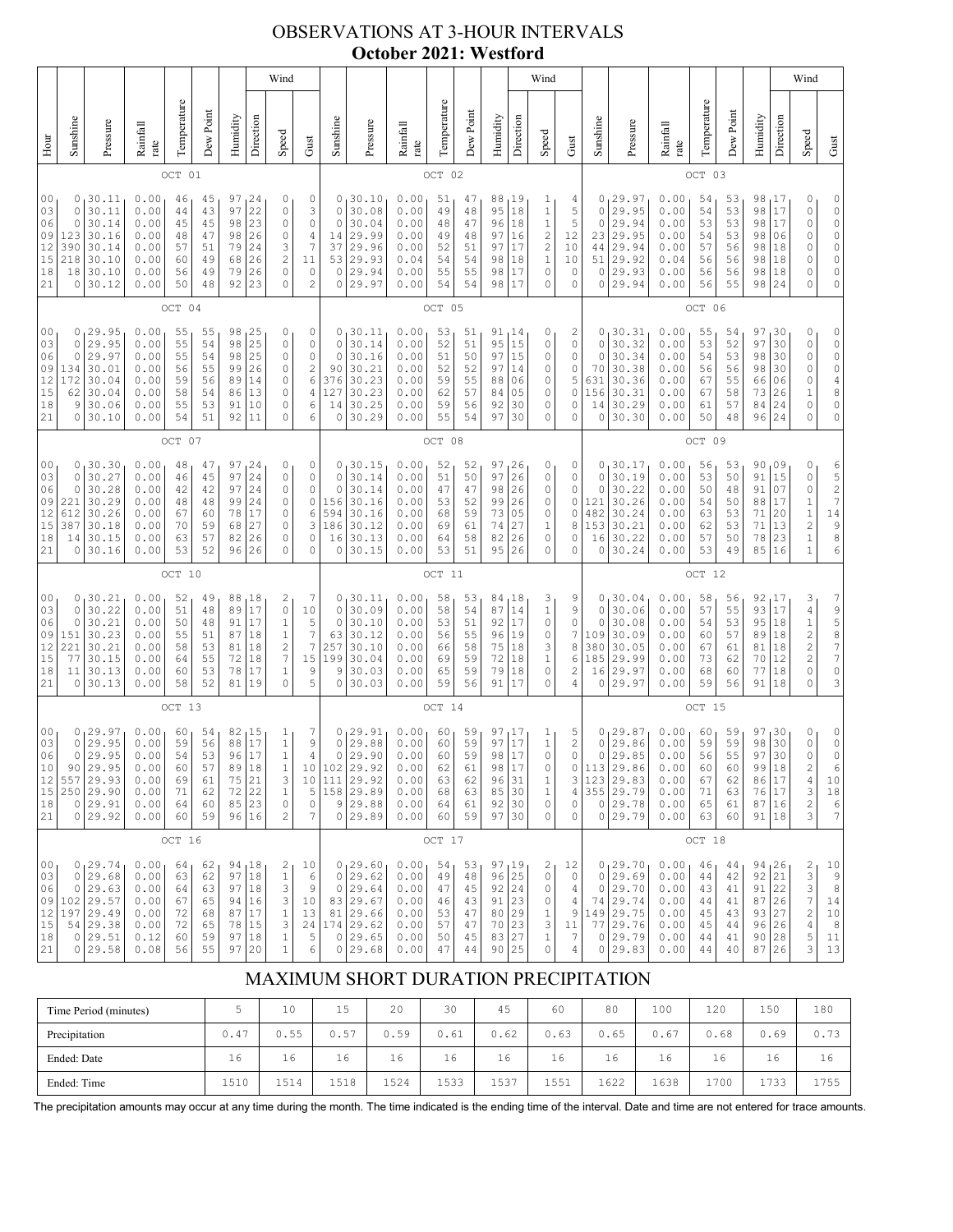## OBSERVATIONS AT 3-HOUR INTERVALS **October 2021: Westford**

|                                                          |                                                 |                                                                                    |                                                              |                                              |                                              |                                                       |                                                                                    | Wind                                                                                                                           |                                                                                         |                                                              |                                                                            |                                                              |                                              |                                              |                                                  |                                                   | Wind                                                                                      |                                                            |                                             |                                                                                  |                                                              |                                              |                                              |                                                          |                                              | Wind                                                                               |                                                                                   |
|----------------------------------------------------------|-------------------------------------------------|------------------------------------------------------------------------------------|--------------------------------------------------------------|----------------------------------------------|----------------------------------------------|-------------------------------------------------------|------------------------------------------------------------------------------------|--------------------------------------------------------------------------------------------------------------------------------|-----------------------------------------------------------------------------------------|--------------------------------------------------------------|----------------------------------------------------------------------------|--------------------------------------------------------------|----------------------------------------------|----------------------------------------------|--------------------------------------------------|---------------------------------------------------|-------------------------------------------------------------------------------------------|------------------------------------------------------------|---------------------------------------------|----------------------------------------------------------------------------------|--------------------------------------------------------------|----------------------------------------------|----------------------------------------------|----------------------------------------------------------|----------------------------------------------|------------------------------------------------------------------------------------|-----------------------------------------------------------------------------------|
| Hour                                                     | Sunshine                                        | Pressure                                                                           | Rainfall<br>rate                                             | Temperature                                  | Dew Point                                    | Humidity                                              | Direction                                                                          | Speed                                                                                                                          | Gust                                                                                    | Sunshine                                                     | Pressure                                                                   | Rainfall<br>rate                                             | Temperature                                  | Dew Point                                    | Humidity                                         | Direction                                         | Speed                                                                                     | Gust                                                       | Sunshine                                    | Pressure                                                                         | Rainfall<br>rate                                             | Temperature                                  | Dew Point                                    | Humidity                                                 | Direction                                    | Speed                                                                              | Gust                                                                              |
|                                                          |                                                 |                                                                                    |                                                              | OCT 01                                       |                                              |                                                       |                                                                                    |                                                                                                                                |                                                                                         |                                                              |                                                                            |                                                              | OCT 02                                       |                                              |                                                  |                                                   |                                                                                           |                                                            |                                             |                                                                                  |                                                              | OCT 03                                       |                                              |                                                          |                                              |                                                                                    |                                                                                   |
| 0 <sub>0</sub><br>03<br>06<br>09<br>12<br>15<br>18<br>21 | 0<br>0<br>0<br>123<br>390<br>218<br>18<br>0     | 30.11<br>30.11<br>30.14<br>30.16<br>30.14<br>30.10<br>30.10<br>30.12               | 0.00<br>0.00<br>0.00<br>0.00<br>0.00<br>0.00<br>0.00<br>0.00 | 46<br>44<br>45<br>48<br>57<br>60<br>56<br>50 | 45<br>43<br>45<br>47<br>51<br>49<br>49<br>48 | 97<br>97<br>98<br>98<br>79<br>68<br>79<br>92          | 24<br>22<br>23<br>26<br>24<br>26<br>26<br>23                                       | 0<br>0<br>$\circ$<br>$\circ$<br>3<br>$\overline{\mathbf{c}}$<br>$\circ$<br>$\circ$                                             | 0<br>3<br>$\circ$<br>4<br>$\overline{7}$<br>11<br>0<br>$\mathbf{2}$                     | 0<br>0<br>$\mathbf 0$<br>14<br>37<br>53<br>0<br>0            | 30.10<br>30.08<br>30.04<br>29.99<br>29.96<br>29.93<br>29.94<br>29.97       | 0.00<br>0.00<br>0.00<br>0.00<br>0.00<br>0.04<br>0.00<br>0.00 | 51<br>49<br>48<br>49<br>52<br>54<br>55<br>54 | 47<br>48<br>47<br>48<br>51<br>54<br>55<br>54 | 88<br>95<br>96<br>97<br>97<br>98<br>98<br>98     | 19 ا<br>18<br>18<br>16<br>17<br>18<br>17<br>17    | 1<br>$\mathbf 1$<br>$\mathbf 1$<br>2<br>$\sqrt{2}$<br>$\,1\,$<br>0<br>0                   | 4<br>5<br>5<br>12<br>10<br>10<br>$\mathbf 0$<br>0          | 0<br>0<br>0<br>23<br>44<br>51<br>0<br>0     | 29.97<br>29.95<br>29.94<br>29.95<br>29.94<br>29.92<br>29.93<br>29.94             | 0.00<br>0.00<br>0.00<br>0.00<br>0.00<br>0.04<br>0.00<br>0.00 | 54<br>54<br>53<br>54<br>57<br>56<br>56<br>56 | 53<br>53<br>53<br>53<br>56<br>56<br>56<br>55 | 98<br>98<br>98<br>98<br>98<br>98<br>98<br>98             | 17<br>17<br>17<br>06<br>18<br>18<br>18<br>24 | 0<br>0<br>0<br>0<br>0<br>0<br>0<br>0                                               | 0<br>0<br>$\mathbb O$<br>$\mathbb O$<br>0<br>$\mathbb O$<br>0<br>0                |
|                                                          |                                                 |                                                                                    |                                                              | OCT 04                                       |                                              |                                                       |                                                                                    |                                                                                                                                |                                                                                         |                                                              |                                                                            |                                                              | OCT 05                                       |                                              |                                                  |                                                   |                                                                                           |                                                            |                                             |                                                                                  |                                                              | OCT 06                                       |                                              |                                                          |                                              |                                                                                    |                                                                                   |
| 00<br>03<br>06<br>09<br>12<br>15<br>18<br>21             | $\mathbf 0$<br>0<br>134<br>172<br>62<br>9<br>0  | 0, 29.95<br>29.95<br>29.97<br>30.01<br>30.04<br>30.04<br>30.06<br>30.10            | 0.00<br>0.00<br>0.00<br>0.00<br>0.00<br>0.00<br>0.00<br>0.00 | 55<br>55<br>55<br>56<br>59<br>58<br>55<br>54 | 55<br>54<br>54<br>55<br>56<br>54<br>53<br>51 | 98<br>98<br>98<br>99<br>89<br>86<br>91<br>92          | 25<br>25<br>25<br>26<br>14<br>13<br>10<br>11                                       | 0<br>$\circ$<br>$\circ$<br>0<br>0<br>0<br>0<br>$\circ$                                                                         | 0<br>$\mathbb O$<br>$\mathbb O$<br>$\sqrt{2}$<br>$\epsilon$<br>$\overline{4}$<br>6<br>6 | 0<br>$\circ$<br>0<br>90<br>376<br>127<br>14<br>0             | 30.11<br>30.14<br>30.16<br>30.21<br>30.23<br>30.23<br>30.25<br>30.29       | 0.00<br>0.00<br>0.00<br>0.00<br>0.00<br>0.00<br>0.00<br>0.00 | 53<br>52<br>51<br>52<br>59<br>62<br>59<br>55 | 51<br>51<br>50<br>52<br>55<br>57<br>56<br>54 | 91<br>95<br>97<br>97<br>88<br>84<br>92<br>97     | 14 ا<br>15<br>15<br>14<br>06<br>05<br>30<br>30    | 0<br>0<br>0<br>0<br>0<br>0<br>0<br>0                                                      | 2<br>0<br>0<br>0<br>5<br>0<br>0<br>0                       | 0<br>0<br>0<br>70<br>631<br>156<br>14<br>0  | 30.31<br>30.32<br>30.34<br>30.38<br>30.36<br>30.31<br>30.29<br>30.30             | 0.00<br>0.00<br>0.00<br>0.00<br>0.00<br>0.00<br>0.00<br>0.00 | 55<br>53<br>54<br>56<br>67<br>67<br>61<br>50 | 54<br>52<br>53<br>56<br>55<br>58<br>57<br>48 | 97<br>97<br>98<br>98<br>66<br>73<br>84<br>96             | 30<br>30<br>30<br>30<br>06<br>26<br>24<br>24 | 0<br>0<br>0<br>0<br>0<br>1<br>0<br>0                                               | 0<br>$\circ$<br>$\mathbb O$<br>$\mathbb O$<br>$\sqrt{4}$<br>8<br>$\mathbb O$<br>0 |
|                                                          | OCT 07                                          |                                                                                    |                                                              |                                              |                                              |                                                       |                                                                                    |                                                                                                                                |                                                                                         |                                                              | OCT 08                                                                     |                                                              |                                              |                                              |                                                  |                                                   |                                                                                           |                                                            |                                             | OCT 09                                                                           |                                                              |                                              |                                              |                                                          |                                              |                                                                                    |                                                                                   |
| 0 <sub>0</sub><br>03<br>06<br>09<br>12<br>15<br>18<br>21 | $\circ$<br>0<br>221<br>612<br>387<br>14<br>0    | 0, 30.30<br>30.27<br>30.28<br>30.29<br>30.26<br>30.18<br>30.15<br>30.16            | 0.00<br>0.00<br>0.00<br>0.00<br>0.00<br>0.00<br>0.00<br>0.00 | 48<br>46<br>42<br>48<br>67<br>70<br>63<br>53 | 47<br>45<br>42<br>48<br>60<br>59<br>57<br>52 | 97<br>97<br>97<br>99<br>78<br>68<br>82<br>96          | 124<br>24<br>24<br>24<br>17<br>27<br>26<br>26                                      | 0<br>$\circ$<br>0<br>0<br>0<br>0<br>0<br>$\Omega$                                                                              | 0<br>$\mathbb O$<br>$\mathbb O$<br>$\mathbb O$<br>6<br>3<br>0<br>0                      | 0<br>$\mathbf 0$<br>0<br>156<br>594<br>186<br>16<br>0        | 30.15<br>30.14<br>30.14<br>30.16<br>30.16<br>30.12<br>30.13<br>30.15       | 0.00<br>0.00<br>0.00<br>0.00<br>0.00<br>0.00<br>0.00<br>0.00 | 52<br>51<br>47<br>53<br>68<br>69<br>64<br>53 | 52<br>50<br>47<br>52<br>59<br>61<br>58<br>51 | 97, 26<br>97<br>98<br>99<br>73<br>74<br>82<br>95 | 26<br>26<br>26<br>05<br>27<br>26<br>26            | 0<br>0<br>0<br>0<br>0<br>1<br>0<br>0                                                      | 0<br>0<br>0<br>0<br>0<br>8<br>0<br>0                       | 0<br>0<br>121<br>482<br>153<br>16<br>0      | 0, 30, 17<br>30.19<br>30.22<br>30.26<br>30.24<br>30.21<br>30.22<br>30.24         | 0.00<br>0.00<br>0.00<br>0.00<br>0.00<br>0.00<br>0.00<br>0.00 | 56<br>53<br>50<br>54<br>63<br>62<br>57<br>53 | 53<br>50<br>48<br>50<br>53<br>53<br>50<br>49 | 90,09<br>91<br>91<br>88<br>71<br>71<br>78<br>85          | 15<br>07<br>17<br>20<br>13<br>23<br>16       | 0<br>0<br>0<br>$\mathbf 1$<br>$\,1$<br>$\begin{array}{c} 2 \\ 1 \end{array}$<br>1  | 6527<br>$1\,4$<br>$\begin{array}{c} 9 \\ 8 \end{array}$<br>6                      |
|                                                          |                                                 |                                                                                    |                                                              | OCT 10                                       |                                              |                                                       |                                                                                    |                                                                                                                                |                                                                                         |                                                              |                                                                            |                                                              | OCT 11                                       |                                              |                                                  |                                                   |                                                                                           |                                                            |                                             |                                                                                  |                                                              | OCT 12                                       |                                              |                                                          |                                              |                                                                                    |                                                                                   |
| 0 <sub>0</sub><br>03<br>06<br>09<br>12<br>15<br>18<br>21 | $\mathbf 0$<br>0<br>151<br>221<br>77<br>11<br>0 | 0, 30.21<br>30.22<br>30.21<br>30.23<br>30.21<br>30.15<br>30.13<br>30.13            | 0.00<br>0.00<br>0.00<br>0.00<br>0.00<br>0.00<br>0.00<br>0.00 | 52<br>51<br>50<br>55<br>58<br>64<br>60<br>58 | 49<br>48<br>48<br>51<br>53<br>55<br>53<br>52 | 88<br>89<br>91<br>87<br>81<br>72<br>78<br>81          | 18<br>17<br>17<br>18<br>18<br>18<br>17<br>19                                       | $\overline{\mathbf{c}}$<br>$\circ$<br>$1\,$<br>$\mathbf{1}$<br>$\overline{\mathbf{c}}$<br>$\boldsymbol{7}$<br>$1\,$<br>$\circ$ | 7<br>10<br>5<br>$\boldsymbol{7}$<br>$\overline{7}$<br>15<br>9<br>5                      | 0<br>$\circ$<br>$\Omega$<br>63<br>257<br>199<br>9<br>$\circ$ | 30.11<br>30.09<br>30.10<br>30.12<br>30.10<br>30.04<br>30.03<br>30.03       | 0.00<br>0.00<br>0.00<br>0.00<br>0.00<br>0.00<br>0.00<br>0.00 | 58<br>58<br>53<br>56<br>66<br>69<br>65<br>59 | 53<br>54<br>51<br>55<br>58<br>59<br>59<br>56 | 84<br>87<br>92<br>96<br>75<br>72<br>79<br>91     | ∣18<br>14<br>17<br>19<br>18<br>18<br>18<br>17     | 3<br>$\mathbf 1$<br>0<br>0<br>3<br>1<br>0<br>0                                            | 9<br>9<br>0<br>7<br>8<br>6<br>2<br>4                       | 0<br>0<br>0<br>109<br>380<br>185<br>16<br>0 | 30.04<br>30.06<br>30.08<br>30.09<br>30.05<br>29.99<br>29.97<br>29.97             | 0.00<br>0.00<br>0.00<br>0.00<br>0.00<br>0.00<br>0.00<br>0.00 | 58<br>57<br>54<br>60<br>67<br>73<br>68<br>59 | 56<br>55<br>53<br>57<br>61<br>62<br>60<br>56 | 92,17<br>93<br>95<br>89<br>81<br>70<br>77<br>91          | 17<br>18<br>18<br>18<br>12<br>18<br>18       | З<br>4<br>$\mathbf 1$<br>$\begin{array}{c} 2 \\ 2 \\ 2 \end{array}$<br>0<br>0      | 7<br>9587<br>$\overline{7}$<br>$\mathbb O$<br>3                                   |
|                                                          |                                                 | OCT 13                                                                             |                                                              |                                              |                                              |                                                       |                                                                                    |                                                                                                                                |                                                                                         |                                                              | OCT 14                                                                     |                                                              |                                              |                                              |                                                  |                                                   |                                                                                           |                                                            |                                             | OCT 15                                                                           |                                                              |                                              |                                              |                                                          |                                              |                                                                                    |                                                                                   |
| 00<br>03<br>06<br>10<br>12<br>15<br>18<br>21             | 0<br>$\mathsf{O}$<br>90<br>557<br>$\circ$       | 0,29.97<br>29.95<br>29.95<br>29.95<br>29.93<br>250 29.90<br>29.91<br>0 29.92       | 0.00<br>0.00<br>0.00<br>0.00<br>0.00<br>0.00<br>0.00<br>0.00 | 60<br>59<br>54<br>60<br>69<br>71<br>64<br>60 | 54<br>56<br>53<br>57<br>61<br>62<br>60<br>59 | 82<br>88<br>96<br>89<br>75<br>$72\,$<br>85 23         | 15 ن<br>17<br>$1\,7$<br>18<br>$\begin{array}{c} 2\,1 \\ 2\,2 \end{array}$<br>96 16 | 1<br>$\,1\,$<br>$\mathbf 1$<br>1<br>$\ensuremath{\mathsf{3}}$<br>$\,1\,$<br>$\circ$<br>$\mathbf{2}$                            | 7<br>9<br>$\overline{4}$<br>10<br>$\mathsf S$<br>$\mathbb O$<br>$\overline{7}$          | 0<br>$\mathbb O$<br>$\circ$<br>102<br>10 111<br>9<br>$\circ$ | 29.91<br>29.88<br>29.90<br>29.92<br>29.92<br>158 29.89<br>29.88<br>29.89   | 0.00<br>0.00<br>0.00<br>0.00<br>0.00<br>0.00<br>0.00<br>0.00 | 60<br>60<br>60<br>62<br>63<br>68<br>64<br>60 | 59<br>59<br>59<br>61<br>62<br>63<br>61<br>59 | 97<br>97<br>98<br>98<br>96<br>85<br>92<br>97     | 17 ا<br>17<br>17<br>17<br>31<br>30<br>30<br>30    | 1<br>$\,1$<br>0<br>0<br>$\mathbf 1$<br>$\,1$<br>0<br>0                                    | 5<br>$\overline{\mathbf{c}}$<br>0<br>0<br>3<br>4<br>0<br>0 | 0<br>0<br>$\circ$<br>123                    | 29.87<br>29.86<br>29.85<br>113 29.86<br>29.83<br>355 29.79<br>0 29.78<br>0 29.79 | 0.00<br>0.00<br>0.00<br>0.00<br>0.00<br>0.00<br>0.00<br>0.00 | 60<br>59<br>56<br>60<br>67<br>71<br>65<br>63 | 59<br>59<br>55<br>60<br>62<br>63<br>61<br>60 | 97<br>98<br>97<br>99<br>86 17<br>76 17<br>87 16<br>91 18 | 30<br>30<br>30<br> 18                        | 0<br>0<br>0<br>2<br>$\sqrt{4}$<br>3<br>$\overline{\mathbf{c}}$<br>3                | 0<br>$\mathbb O$<br>$\circ$<br>6<br>$10$<br>18<br>$\epsilon$<br>7                 |
|                                                          |                                                 | OCT 16                                                                             |                                                              |                                              |                                              |                                                       |                                                                                    |                                                                                                                                |                                                                                         |                                                              |                                                                            | OCT 17                                                       |                                              |                                              |                                                  |                                                   |                                                                                           |                                                            |                                             |                                                                                  | OCT 18                                                       |                                              |                                              |                                                          |                                              |                                                                                    |                                                                                   |
| 00<br>03<br>06<br>09<br>12<br>15<br>18<br>21             | $\circ$<br>0<br>197                             | 0, 29.74<br>29.68<br>29.63<br>102 29.57<br>29.49<br>54 29.38<br>0 29.51<br>0 29.58 | 0.00<br>0.00<br>0.00<br>0.00<br>0.00<br>0.00<br>0.12<br>0.08 | 64<br>63<br>64<br>67<br>72<br>72<br>60<br>56 | 62<br>62<br>63<br>65<br>68<br>65<br>59<br>55 | 94 18<br>97<br>97 18<br>94<br>87 17<br>78<br>97<br>97 | 18<br>16<br>15<br>18<br>20                                                         | $\overline{\mathbf{c}}$<br>$\,1\,$<br>$\ensuremath{\mathsf{3}}$<br>$\ensuremath{\mathsf{3}}$<br>$\,1\,$<br>3<br>$\,1$<br>$1\,$ | 10<br>6<br>$\mathsf 9$<br>10<br>13<br>24<br>5<br>6                                      | $\circ$<br>$\mathbf 0$<br>81<br>174<br>0<br>0                | 0, 29.60<br>29.62<br>29.64<br>83 29.67<br>29.66<br>29.62<br>29.65<br>29.68 | 0.00<br>0.00<br>0.00<br>0.00<br>0.00<br>0.00<br>0.00<br>0.00 | 54<br>49<br>47<br>46<br>53<br>57<br>50<br>47 | 53<br>48<br>45<br>43<br>47<br>47<br>45<br>44 | 97<br>96<br>92<br>91<br>80<br>70<br>83<br>90     | 19 ا<br> 25<br> 24<br>23<br>29<br> 23<br>27<br>25 | 2<br>$\circ$<br>0<br>$\mathbb O$<br>$\frac{1}{3}$<br>$\mathbbm{1}$<br>$\mathsf{O}\xspace$ | 12<br>$\circ$<br>4<br>4<br>9<br>11<br>$\overline{7}$<br>4  | 0<br>0<br>74<br>149<br>77<br>$\circ$        | 0, 29.70<br>29.69<br>29.70<br>29.74<br>29.75<br>29.76<br>29.79<br>0 29.83        | 0.00<br>0.00<br>0.00<br>0.00<br>0.00<br>0.00<br>0.00<br>0.00 | 46<br>44<br>43<br>44<br>45<br>45<br>44<br>44 | 44<br>42<br>41<br>41<br>43<br>44<br>41<br>40 | 94, 26<br>92<br>91<br>87<br>93<br>96 26<br>90 28<br>87   | 21<br>22<br>26<br>27<br>26                   | 2<br>3<br>3<br>$\boldsymbol{7}$<br>$\begin{array}{c} 2 \\ 4 \\ 5 \end{array}$<br>3 | 10<br>9<br>$\,$ 8 $\,$<br>14<br>$10$<br>8<br>11<br>13                             |

# MAXIMUM SHORT DURATION PRECIPITATION

| Time Period (minutes) |                           | 10   | 1 E<br>∸ | 20   | 30   | 45          | 60   | 80   | 100  | 120  | 150           | 180  |
|-----------------------|---------------------------|------|----------|------|------|-------------|------|------|------|------|---------------|------|
| Precipitation         | $\sqrt{2}$<br>$0.4^\circ$ | 0.55 | 0.57     | 0.59 | 0.61 | 0.62        | 0.63 | 0.65 | 0.67 | 0.68 | 0.69          | 0.73 |
| Ended: Date           | 16                        | 16   | 16       | 16   | 16   | 16          | 16   | 16   | 16   | 16   | 16            | 16   |
| Ended: Time           | 1510                      | 1514 | 1518     | 1524 | 1533 | 1537<br>ᅩJJ | 1551 | 1622 | 1638 | 1700 | 733<br>11 J J | 1755 |

The precipitation amounts may occur at any time during the month. The time indicated is the ending time of the interval. Date and time are not entered for trace amounts.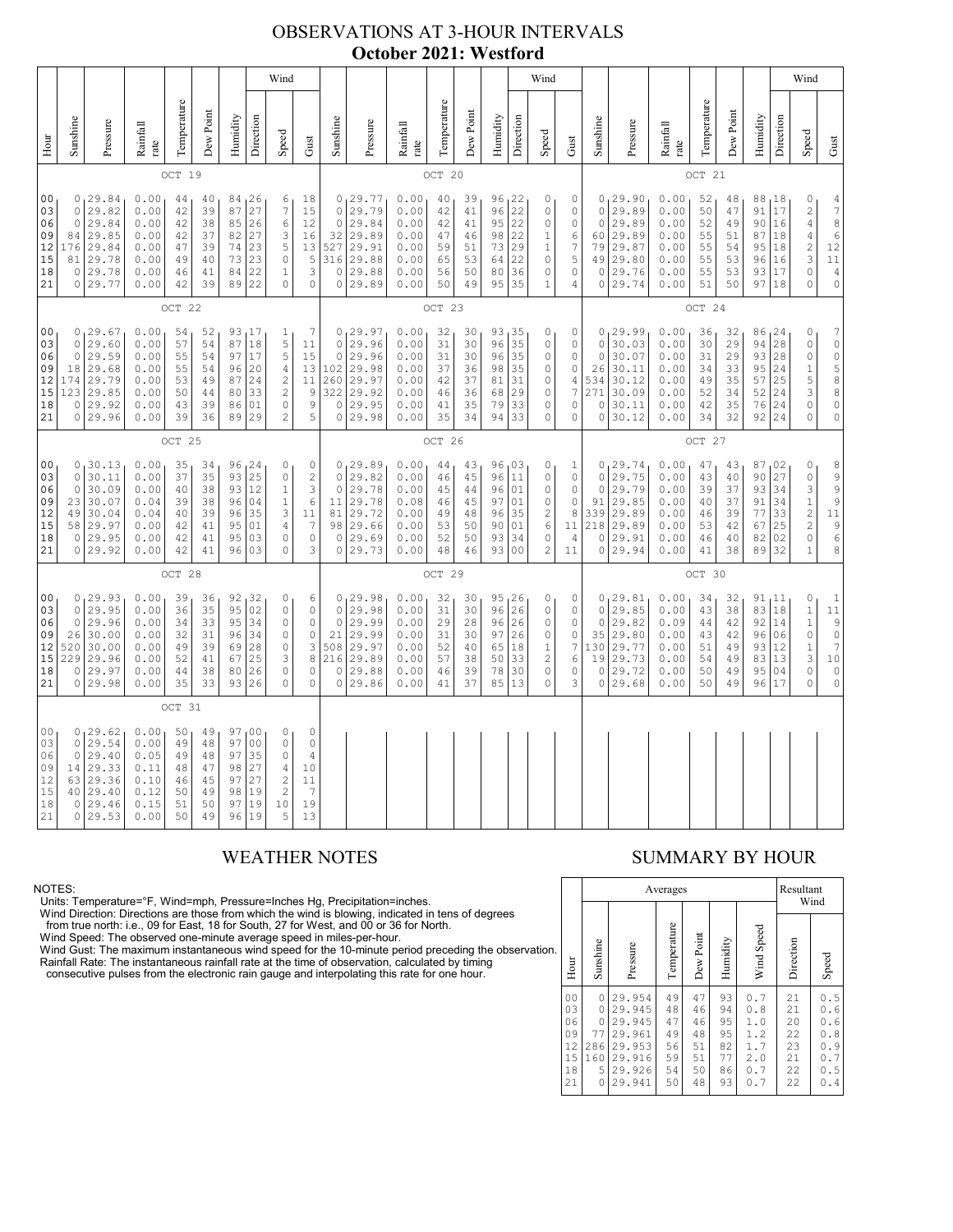## OBSERVATIONS AT 3-HOUR INTERVALS **October 2021: Westford**

|                                              |                                                                                                                                                                                                                                                                                                                                                                                                                                                                                                                       |                                                                               |                                                              |                                              |                                              |                                                                              |                                                                         | Wind                                                                                                              |                                                                                                  |                                                                 |                                                                         |                                                              |                                                                             |                                                                                    |                                                            |                                                                         | Wind                                                                                          |                                                                                   |                                                        |                                                                         |                                                              |                                                                                                   |                                                                                         |                                                  |                                        | Wind                                                                                                                       |                                                                                                                  |
|----------------------------------------------|-----------------------------------------------------------------------------------------------------------------------------------------------------------------------------------------------------------------------------------------------------------------------------------------------------------------------------------------------------------------------------------------------------------------------------------------------------------------------------------------------------------------------|-------------------------------------------------------------------------------|--------------------------------------------------------------|----------------------------------------------|----------------------------------------------|------------------------------------------------------------------------------|-------------------------------------------------------------------------|-------------------------------------------------------------------------------------------------------------------|--------------------------------------------------------------------------------------------------|-----------------------------------------------------------------|-------------------------------------------------------------------------|--------------------------------------------------------------|-----------------------------------------------------------------------------|------------------------------------------------------------------------------------|------------------------------------------------------------|-------------------------------------------------------------------------|-----------------------------------------------------------------------------------------------|-----------------------------------------------------------------------------------|--------------------------------------------------------|-------------------------------------------------------------------------|--------------------------------------------------------------|---------------------------------------------------------------------------------------------------|-----------------------------------------------------------------------------------------|--------------------------------------------------|----------------------------------------|----------------------------------------------------------------------------------------------------------------------------|------------------------------------------------------------------------------------------------------------------|
| Hour                                         | Sunshine                                                                                                                                                                                                                                                                                                                                                                                                                                                                                                              | Pressure                                                                      | Rainfall<br>rate                                             | Temperature                                  | Dew Point                                    | Humidity                                                                     | Direction                                                               | Speed                                                                                                             | Gust                                                                                             | Sunshine                                                        | Pressure                                                                | Rainfall<br>rate                                             | Temperature                                                                 | Dew Poin                                                                           | Humidity                                                   | Direction                                                               | Speed                                                                                         | Gust                                                                              | Sunshine                                               | Pressure                                                                | Rainfall<br>$_{\rm rate}$                                    | Temperature                                                                                       | Dew Point                                                                               | Humidity                                         | Direction                              | Speed                                                                                                                      | Gust                                                                                                             |
|                                              |                                                                                                                                                                                                                                                                                                                                                                                                                                                                                                                       |                                                                               |                                                              | OCT 19                                       |                                              |                                                                              |                                                                         |                                                                                                                   |                                                                                                  |                                                                 |                                                                         |                                                              | OCT 20                                                                      |                                                                                    |                                                            |                                                                         |                                                                                               |                                                                                   |                                                        |                                                                         |                                                              | OCT 21                                                                                            |                                                                                         |                                                  |                                        |                                                                                                                            |                                                                                                                  |
| 00<br>03<br>06<br>09<br>12<br>15<br>18<br>21 | 0.00<br>0, 29.84<br>84 26<br>18<br>44<br>40<br>6<br>27<br>29.82<br>$\boldsymbol{7}$<br>15<br>$\circ$<br>0.00<br>42<br>39<br>87<br>$\circ$<br>29.84<br>0.00<br>42<br>38<br>85<br>26<br>6<br>12<br>29.85<br>0.00<br>42<br>37<br>82<br>27<br>3<br>84<br>16<br>23<br>5<br>29.84<br>0.00<br>47<br>39<br>74<br>13<br>176<br>29.78<br>0.00<br>73<br>23<br>$\circ$<br>5<br>81<br>40<br>49<br>3<br>0 29.78<br>0.00<br>22<br>46<br>41<br>84<br>$\mathbf 1$<br>39<br>22<br>$\circ$<br>$\mathbf 0$<br>0 29.77<br>0.00<br>42<br>89 |                                                                               |                                                              |                                              |                                              | $\mathsf{O}\xspace$<br>$\mathbb O$<br>32<br>527<br>316<br>$\circ$<br>$\circ$ | 0, 29.77<br>29.79<br>29.84<br>29.89<br>29.91<br>29.88<br>29.88<br>29.89 | 0.00<br>0.00<br>0.00<br>0.00<br>0.00<br>0.00<br>0.00<br>0.00                                                      | 40<br>42<br>42<br>47<br>59<br>65<br>56<br>50                                                     | 39<br>41<br>41<br>46<br>51<br>53<br>50<br>49                    | 96, 22<br>96<br>95<br>98<br>73<br>64<br>80<br>95                        | 22<br>22<br>22<br>29<br>22<br>36<br>35                       | 0<br>$\mathsf{O}\xspace$<br>0<br>1<br>$\,1$<br>$\circ$<br>0<br>$\mathbf{1}$ | 0<br>$\circ$<br>$\mathbb O$<br>6<br>$\boldsymbol{7}$<br>5<br>$\circ$<br>$\sqrt{4}$ | $\circ$<br>$\circ$<br>60<br>79<br>49<br>$\circ$<br>$\circ$ | 0, 29.90<br>29.89<br>29.89<br>29.89<br>29.87<br>29.80<br>29.76<br>29.74 | 0.00<br>0.00<br>0.00<br>0.00<br>0.00<br>0.00<br>0.00<br>0.00                                  | 52<br>50<br>52<br>55<br>55<br>55<br>55<br>51                                      | 48<br>47<br>49<br>51<br>54<br>53<br>53<br>50           | 88,18<br>91<br>90<br>87<br>95<br>96<br>93<br>97                         | 17<br>16<br>18<br>18<br>16<br>17<br>18                       | 0<br>$\sqrt{2}$<br>$\sqrt{4}$<br>$\sqrt{4}$<br>$\overline{\mathbf{c}}$<br>3<br>$\circ$<br>$\circ$ | 4<br>$\boldsymbol{7}$<br>8<br>$\epsilon$<br>$12$<br>$1\,1$<br>$\sqrt{4}$<br>$\mathbb O$ |                                                  |                                        |                                                                                                                            |                                                                                                                  |
|                                              |                                                                                                                                                                                                                                                                                                                                                                                                                                                                                                                       |                                                                               |                                                              | OCT 22                                       |                                              |                                                                              |                                                                         |                                                                                                                   |                                                                                                  |                                                                 |                                                                         |                                                              | OCT 23                                                                      |                                                                                    |                                                            |                                                                         |                                                                                               |                                                                                   |                                                        |                                                                         |                                                              | OCT 24                                                                                            |                                                                                         |                                                  |                                        |                                                                                                                            |                                                                                                                  |
| 00<br>03<br>06<br>09<br>12<br>15<br>18<br>21 | $\circ$<br>$\circ$<br>18<br>174<br>123<br>0                                                                                                                                                                                                                                                                                                                                                                                                                                                                           | 0, 29.67<br>29.60<br>29.59<br>29.68<br>29.79<br>29.85<br>29.92<br>0 29.96     | 0.00<br>0.00<br>0.00<br>0.00<br>0.00<br>0.00<br>0.00<br>0.00 | 54<br>57<br>55<br>55<br>53<br>50<br>43<br>39 | 52<br>54<br>54<br>54<br>49<br>44<br>39<br>36 | 87<br>97<br>96<br>87<br>80<br>86<br>89                                       | 93, 17<br>18<br>17<br>20<br>24<br>33<br>01<br>29                        | 1<br>5<br>5<br>$\sqrt{4}$<br>$\sqrt{2}$<br>$\sqrt{2}$<br>$\circ$<br>$\overline{c}$                                | 7<br>11<br>15<br>13<br>$1\,1$<br>$\overline{9}$<br>$\mathsf 9$<br>5                              | $\mathbf 0$<br>$\mathbb O$<br>102<br>260<br>322<br>0<br>$\circ$ | 0, 29.97<br>29.96<br>29.96<br>29.98<br>29.97<br>29.92<br>29.95<br>29.98 | 0.00<br>0.00<br>0.00<br>0.00<br>0.00<br>0.00<br>0.00<br>0.00 | 32<br>31<br>31<br>37<br>42<br>46<br>41<br>35                                | 30<br>30<br>30<br>36<br>37<br>36<br>35<br>34                                       | 93, 35<br>96<br>96<br>98<br>81<br>68<br>79<br>94           | 35<br>35<br>35<br>31<br>29<br>33<br>33                                  | 0<br>0<br>0<br>0<br>0<br>$\mathbb O$<br>$\mathsf{O}\xspace$<br>0                              | 0<br>$\mathbb O$<br>$\mathbb O$<br>0<br>4<br>$\boldsymbol{7}$<br>0<br>$\mathbf 0$ | $\circ$<br>$\circ$<br>26<br>534<br>271<br>0<br>$\circ$ | 0, 29.99<br>30.03<br>30.07<br>30.11<br>30.12<br>30.09<br>30.11<br>30.12 | 0.00<br>0.00<br>0.00<br>0.00<br>0.00<br>0.00<br>0.00<br>0.00 | 36<br>30<br>31<br>34<br>49<br>52<br>42<br>34                                                      | 32<br>29<br>29<br>33<br>35<br>34<br>35<br>32                                            | 86, 24<br>94<br>93<br>95<br>57<br>52<br>76<br>92 | 28<br>28<br>24<br>25<br>24<br>24<br>24 | $\mathbb O$<br>$\mathbb O$<br>$\mathbb O$<br>$\,1\,$<br>$\mathsf S$<br>$\ensuremath{\mathsf{3}}$<br>$\circ$<br>$\mathbf 0$ | 7<br>$\circ$<br>$\circ$<br>5<br>8<br>8<br>$\mathbb O$<br>$\mathbb O$                                             |
|                                              | OCT 25                                                                                                                                                                                                                                                                                                                                                                                                                                                                                                                |                                                                               |                                                              |                                              |                                              |                                                                              |                                                                         |                                                                                                                   |                                                                                                  |                                                                 | OCT 26                                                                  |                                                              |                                                                             |                                                                                    |                                                            |                                                                         |                                                                                               |                                                                                   |                                                        | OCT 27                                                                  |                                                              |                                                                                                   |                                                                                         |                                                  |                                        |                                                                                                                            |                                                                                                                  |
| 00<br>03<br>06<br>09<br>12<br>15<br>18<br>21 | $\circ$<br>$\circ$<br>49<br>58<br>0                                                                                                                                                                                                                                                                                                                                                                                                                                                                                   | 0, 30.13<br>30.11<br>30.09<br>23 30.07<br>30.04<br> 29.97<br>29.95<br>0 29.92 | 0.00<br>0.00<br>0.00<br>0.04<br>0.04<br>0.00<br>0.00<br>0.00 | 35<br>37<br>40<br>39<br>40<br>42<br>42<br>42 | 34<br>35<br>38<br>38<br>39<br>41<br>41<br>41 | 93<br>93<br>96<br>96<br>95<br>95<br>96                                       | 96, 24<br>25<br>12<br>04<br>35<br>01<br>03<br>03                        | 0<br>$\mathbb O$<br>$\mathbf 1$<br>$\,1$<br>$\ensuremath{\mathsf{3}}$<br>$\overline{4}$<br>$\mathbb O$<br>$\circ$ | 0<br>$\begin{array}{c} 2 \\ 3 \end{array}$<br>$\epsilon$<br>11<br>$\overline{7}$<br>$\circ$<br>3 | $\mathbf 0$<br>$\mathbf 0$<br>11<br>81<br>98<br>0<br>$\circ$    | 0, 29.89<br>29.82<br>29.78<br>29.78<br>29.72<br>29.66<br>29.69<br>29.73 | 0.00<br>0.00<br>0.00<br>0.08<br>0.00<br>0.00<br>0.00<br>0.00 | 44<br>46<br>45<br>46<br>49<br>53<br>52<br>48                                | 43<br>45<br>44<br>45<br>48<br>50<br>50<br>46                                       | 96<br>96<br>97<br>96<br>90<br>93<br>93                     | $96^{03}$<br>11<br>01<br>01<br>35<br>01<br>34<br>00                     | 0<br>$\circ$<br>$\mathbb O$<br>0<br>$\sqrt{2}$<br>$\epsilon$<br>$\mathbb O$<br>$\overline{c}$ | $\mathbf{1}$<br>$\circ$<br>$\mathbb O$<br>$\mathbb O$<br>8<br>11<br>4<br>11       | $\circ$<br>$\circ$<br>91<br>339<br>218<br>0<br>$\circ$ | 0, 29.74<br>29.75<br>29.79<br>29.85<br>29.89<br>29.89<br>29.91<br>29.94 | 0.00<br>0.00<br>0.00<br>0.00<br>0.00<br>0.00<br>0.00<br>0.00 | 47<br>43<br>39<br>40<br>46<br>53<br>46<br>41                                                      | 43<br>40<br>37<br>37<br>39<br>42<br>40<br>38                                            | 87,02<br>90<br>93<br>91<br>77<br>67<br>82<br>89  | 27<br>34<br>34<br>33<br>25<br>02<br>32 | 0<br>$\mathbb O$<br>3<br>$\mathbf 1$<br>$\overline{\mathbf{c}}$<br>$\overline{c}$<br>$\circ$<br>$\mathbf{1}$               | 8<br>$\frac{9}{9}$<br>9<br>11<br>9<br>$\epsilon$<br>8                                                            |
|                                              |                                                                                                                                                                                                                                                                                                                                                                                                                                                                                                                       |                                                                               |                                                              | OCT 28                                       |                                              |                                                                              |                                                                         |                                                                                                                   |                                                                                                  |                                                                 |                                                                         |                                                              | OCT 29                                                                      |                                                                                    |                                                            |                                                                         |                                                                                               |                                                                                   |                                                        |                                                                         |                                                              | OCT 30                                                                                            |                                                                                         |                                                  |                                        |                                                                                                                            |                                                                                                                  |
| 00<br>03<br>06<br>09<br>12<br>15<br>18<br>21 | $\circ$<br>$\circ$<br>26<br>520<br>229<br>0                                                                                                                                                                                                                                                                                                                                                                                                                                                                           | 0, 29.93<br>29.95<br>29.96<br>30.00<br>30.00<br>29.96<br> 29.97<br>0 29.98    | 0.00<br>0.00<br>0.00<br>0.00<br>0.00<br>0.00<br>0.00<br>0.00 | 39<br>36<br>34<br>32<br>49<br>52<br>44<br>35 | 36<br>35<br>33<br>31<br>39<br>41<br>38<br>33 | 92<br>95<br>95<br>96<br>69<br>67<br>80<br>93                                 | 32<br>02<br>34<br>34<br>28<br>25<br>26<br>26                            | $\mathbb O$<br>0<br>0<br>0<br>0<br>3<br>$\circ$<br>$\mathbf 0$                                                    | 6<br>0<br>$\circ$<br>$\mathbb O$<br>$\mathsf 3$<br>8<br>$\circ$<br>$\mathbf 0$                   | $\circ$<br>0<br>$2\sqrt{1}$<br>508<br>216<br>0<br>0             | 0, 29.98<br>29.98<br>29.99<br>29.99<br>29.97<br>29.89<br>29.88<br>29.86 | 0.00<br>0.00<br>0.00<br>0.00<br>0.00<br>0.00<br>0.00<br>0.00 | 32<br>31<br>29<br>31<br>52<br>57<br>46<br>41                                | 30<br>30<br>28<br>30<br>40<br>38<br>39<br>37                                       | 96<br>96<br>97<br>65<br>50<br>78<br>85                     | 95, 26<br>26<br>26<br>26<br> 18<br>33<br>30<br>13                       | 0<br>$\mathbb O$<br>0<br>0<br>$\mathbf{1}$<br>$\mathbf{2}$<br>$\circ$<br>0                    | 0<br>0<br>0<br>$\mathbb O$<br>$\overline{7}$<br>6<br>$\mathbb O$<br>3             | $\circ$<br>$\circ$<br>35<br>130<br>19<br>$\circ$<br>0  | 0, 29.81<br>29.85<br>29.82<br>29.80<br>29.77<br>29.73<br>29.72<br>29.68 | 0.00<br>0.00<br>0.09<br>0.00<br>0.00<br>0.00<br>0.00<br>0.00 | 34<br>43<br>44<br>43<br>51<br>54<br>50<br>50                                                      | 32<br>38<br>42<br>42<br>49<br>49<br>49<br>49                                            | 91, 11<br>83<br>92<br>96<br>93<br>83<br>95<br>96 | 18<br>14<br>06<br>12<br>13<br>04<br>17 | $\mathbb O$<br>$\mathbf 1$<br>$1\,$<br>$\mathbb O$<br>$\mathbf 1$<br>3<br>$\mathbb O$<br>$\circ$                           | $\mathbf 1$<br>11<br>$\begin{array}{c} 9 \\ 0 \end{array}$<br>$\boldsymbol{7}$<br>$10$<br>$\mathbb O$<br>$\circ$ |
|                                              |                                                                                                                                                                                                                                                                                                                                                                                                                                                                                                                       |                                                                               |                                                              | OCT 31                                       |                                              |                                                                              |                                                                         |                                                                                                                   |                                                                                                  |                                                                 |                                                                         |                                                              |                                                                             |                                                                                    |                                                            |                                                                         |                                                                                               |                                                                                   |                                                        |                                                                         |                                                              |                                                                                                   |                                                                                         |                                                  |                                        |                                                                                                                            |                                                                                                                  |
| 00<br>03<br>06<br>09<br>12<br>15<br>18<br>21 | $\circ$<br>$\circ$<br>14 <br>40<br>0                                                                                                                                                                                                                                                                                                                                                                                                                                                                                  | 0, 29.62<br>29.54<br>29.40<br>29.33<br>63 29.36<br> 29.40<br>29.46<br>0 29.53 | 0.00<br>0.00<br>0.05<br>0.11<br>0.10<br>0.12<br>0.15<br>0.00 | 50<br>49<br>49<br>48<br>46<br>50<br>51<br>50 | 49<br>48<br>48<br>47<br>45<br>49<br>50<br>49 | 97<br>97<br>97<br>98<br>97<br>98<br>97<br>96                                 | 100<br>00<br>35<br>27<br>27<br>19<br>19<br>19                           | 0<br>$\circ$<br>$\mathbb O$<br>4<br>$\sqrt{2}$<br>$\sqrt{2}$<br>10<br>5                                           | 0<br>$\mathbb O$<br>$\overline{4}$<br>10<br>11<br>$\overline{7}$<br>19<br>13                     |                                                                 |                                                                         |                                                              |                                                                             |                                                                                    |                                                            |                                                                         |                                                                                               |                                                                                   |                                                        |                                                                         |                                                              |                                                                                                   |                                                                                         |                                                  |                                        |                                                                                                                            |                                                                                                                  |

NOTES:<br>Units: Temperature=°F, Wind=mph, Pressure=Inches Hg, Precipitation=inches.<br>Units: Temperature=°F, Wind=mph, Pressure=Inches Hg, Precipitation=inches.<br>
Yind Direction: Directions are those from which the wind is blow

### WEATHER NOTES SUMMARY BY HOUR

|    |                                                          |                                                  |                                                                              | Averages                                     |                                              |                                              |                                                      | Resultant                                    | Wind                                                 |
|----|----------------------------------------------------------|--------------------------------------------------|------------------------------------------------------------------------------|----------------------------------------------|----------------------------------------------|----------------------------------------------|------------------------------------------------------|----------------------------------------------|------------------------------------------------------|
| ì. | Hour                                                     | Sunshine                                         | Pressure                                                                     | Temperature                                  | Dew Point                                    | Humidity                                     | Wind Speed                                           | Direction                                    | Speed                                                |
|    | 0 <sub>0</sub><br>03<br>06<br>09<br>12<br>15<br>18<br>21 | 0<br>0<br>0<br>77<br>286<br>160<br>5<br>$\Omega$ | 29.954<br>29.945<br>29.945<br>29.961<br>29.953<br>29.916<br>29.926<br>29.941 | 49<br>48<br>47<br>49<br>56<br>59<br>54<br>50 | 47<br>46<br>46<br>48<br>51<br>51<br>50<br>48 | 93<br>94<br>95<br>95<br>82<br>77<br>86<br>93 | 0.7<br>0.8<br>1.0<br>1.2<br>1.7<br>2.0<br>0.7<br>0.7 | 21<br>21<br>20<br>22<br>23<br>21<br>22<br>22 | 0.5<br>0.6<br>0.6<br>0.8<br>0.9<br>0.7<br>0.5<br>0.4 |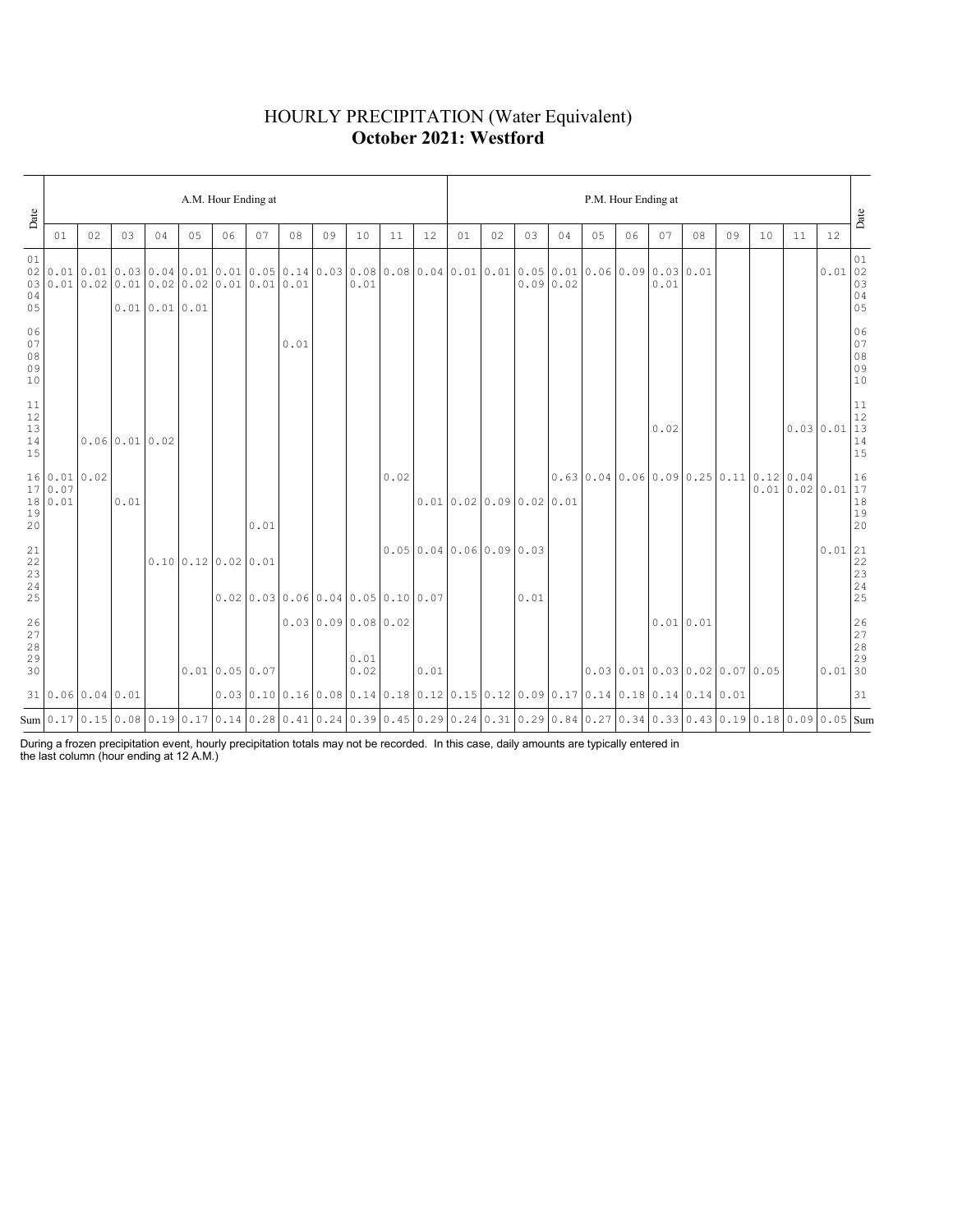### HOURLY PRECIPITATION (Water Equivalent) **October 2021: Westford**

| Date                                                      |                                    |    |                            |              |    | A.M. Hour Ending at                                                                                                                   |      |      |                                      |              |      |      | P.M. Hour Ending at |                      |      |          |    |                                                                                                                                               |             |    |    |    |    |                                                                       |                                                     |  |
|-----------------------------------------------------------|------------------------------------|----|----------------------------|--------------|----|---------------------------------------------------------------------------------------------------------------------------------------|------|------|--------------------------------------|--------------|------|------|---------------------|----------------------|------|----------|----|-----------------------------------------------------------------------------------------------------------------------------------------------|-------------|----|----|----|----|-----------------------------------------------------------------------|-----------------------------------------------------|--|
|                                                           | 01                                 | 02 | 03                         | 04           | 05 | 06                                                                                                                                    | 07   | 08   | 09                                   | 10           | 11   | 12   | 01                  | 02                   | 03   | 04       | 05 | 06                                                                                                                                            | 07          | 08 | 09 | 10 | 11 | 12                                                                    | Date                                                |  |
| 01<br>02<br>04<br>05                                      |                                    |    |                            | 0.010.010.01 |    | $0.010.010.030.040.010.010.010.050.140.030.080.080.040.010.010.050.010.060.090.030.010.0$<br>$030.010.020.010.020.020.020.010.010.01$ |      |      |                                      | 0.01         |      |      |                     |                      |      | 0.090.02 |    |                                                                                                                                               | 0.01        |    |    |    |    | 0.0102                                                                | 01<br>03<br>$\begin{array}{c} 04 \\ 05 \end{array}$ |  |
| 06<br>07<br>$08$<br>09<br>10                              |                                    |    |                            |              |    |                                                                                                                                       |      | 0.01 |                                      |              |      |      |                     |                      |      |          |    |                                                                                                                                               |             |    |    |    |    |                                                                       | 06<br>07<br>$08$<br>09<br>09<br>10                  |  |
| 11<br>$12$<br>13<br>$14$<br>15                            |                                    |    | $0.06 \mid 0.01 \mid 0.02$ |              |    |                                                                                                                                       |      |      |                                      |              |      |      |                     |                      |      |          |    |                                                                                                                                               | 0.02        |    |    |    |    | 0.030.01                                                              | 11<br>$12\,$<br>$\overline{13}$<br>$1\,4$<br>15     |  |
| 19<br>20                                                  | 16 0.01 0.02<br>17 0.07<br>18 0.01 |    | 0.01                       |              |    |                                                                                                                                       | 0.01 |      |                                      |              | 0.02 |      |                     | 0.010.020.090.020.01 |      |          |    | $0.63$ 0.04 0.06 0.09 0.25 0.11 0.12 0.04                                                                                                     |             |    |    |    |    | $\begin{bmatrix} 0.12 & 0.04 \\ 0.01 & 0.02 & 0.01 \end{bmatrix}$ 16  | $\begin{array}{c} 18 \\ 19 \\ 20 \end{array}$       |  |
| $\begin{array}{c} 21 \\ 22 \\ 23 \end{array}$<br>24<br>25 |                                    |    |                            |              |    | $0.10 \mid 0.12 \mid 0.02 \mid 0.01$                                                                                                  |      |      | $0.02$ 0.03 0.06 0.04 0.05 0.10 0.07 |              |      |      |                     | 0.050.040.060.090.03 | 0.01 |          |    |                                                                                                                                               |             |    |    |    |    | $0.01$  21                                                            | $\frac{22}{23}$<br>23<br>25                         |  |
| $\frac{26}{27}$<br>$2\,8$<br>29<br>30                     |                                    |    |                            |              |    | 0.010.050.07                                                                                                                          |      |      | 0.030.090.080.02                     | 0.01<br>0.02 |      | 0.01 |                     |                      |      |          |    | $0.03 \mid 0.01 \mid 0.03 \mid 0.02 \mid 0.07 \mid 0.05$                                                                                      | $0.01$ 0.01 |    |    |    |    | $\begin{array}{c c} & 26 \\ 27 \\ 28 \\ 29 \\ 0.01 \\ 30 \end{array}$ |                                                     |  |
|                                                           | 31 0.06 0.04 0.01                  |    |                            |              |    |                                                                                                                                       |      |      |                                      |              |      |      |                     |                      |      |          |    | $0.03$   $0.10$   $0.16$   $0.08$   $0.14$   $0.18$   $0.12$   $0.15$   $0.12$   $0.09$   $0.17$   $0.14$   $0.14$   $0.14$   $0.14$   $0.01$ |             |    |    |    |    |                                                                       | 31                                                  |  |
|                                                           |                                    |    |                            |              |    | Sum 0.17 0.15 0.08 0.19 0.17 0.14 0.28 0.41 0.24 0.39 0.45 0.29 0.24 0.31 0.29 0.84 0.27 0.34 0.33 0.43 0.19 0.18 0.09 0.05 Sum       |      |      |                                      |              |      |      |                     |                      |      |          |    |                                                                                                                                               |             |    |    |    |    |                                                                       |                                                     |  |

During a frozen precipitation event, hourly precipitation totals may not be recorded. In this case, daily amounts are typically entered in the last column (hour ending at 12 A.M.)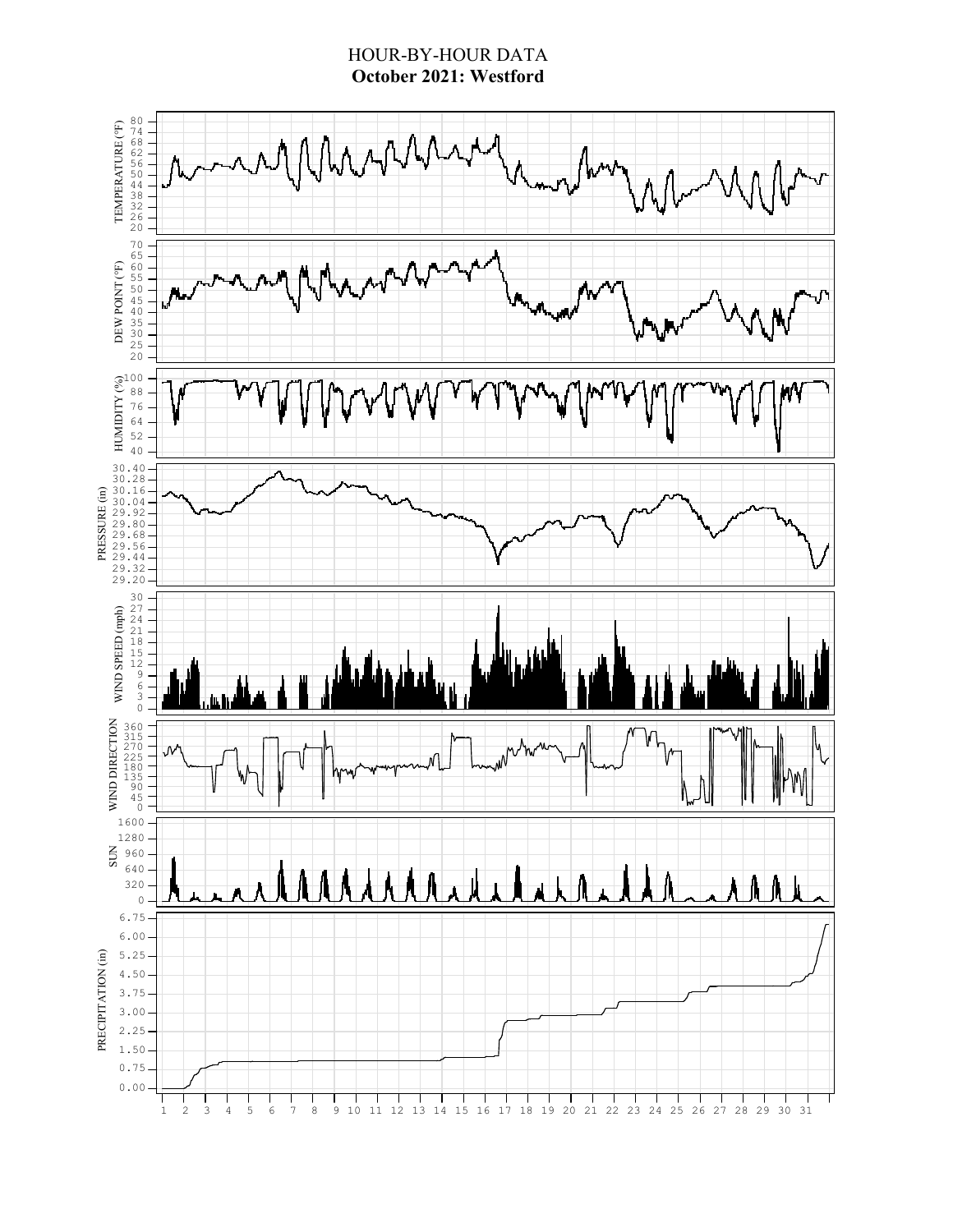### HOUR-BY-HOUR DATA **October 2021: Westford**